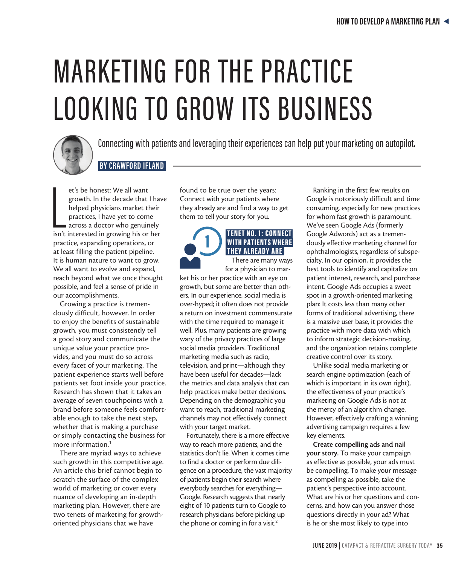# MARKETING FOR THE PRACTICE LOOKING TO GROW ITS BUSINESS



Connecting with patients and leveraging their experiences can help put your marketing on autopilot.

## **BY CRAWFORD IFLAND**

et's be honest: We all want<br>growth. In the decade that I have<br>helped physicians market their<br>practices, I have yet to come<br>across a doctor who genuinely<br>isn't interested in growing his or her et's be honest: We all want growth. In the decade that I have helped physicians market their practices, I have yet to come across a doctor who genuinely practice, expanding operations, or at least filling the patient pipeline. It is human nature to want to grow. We all want to evolve and expand, reach beyond what we once thought possible, and feel a sense of pride in our accomplishments.

Growing a practice is tremendously difficult, however. In order to enjoy the benefits of sustainable growth, you must consistently tell a good story and communicate the unique value your practice provides, and you must do so across every facet of your marketing. The patient experience starts well before patients set foot inside your practice. Research has shown that it takes an average of seven touchpoints with a brand before someone feels comfortable enough to take the next step, whether that is making a purchase or simply contacting the business for more information.1

There are myriad ways to achieve such growth in this competitive age. An article this brief cannot begin to scratch the surface of the complex world of marketing or cover every nuance of developing an in-depth marketing plan. However, there are two tenets of marketing for growthoriented physicians that we have

found to be true over the years: Connect with your patients where they already are and find a way to get them to tell your story for you.

## 1 TENET NO. 1: CONNECT WITH PATIENTS WHERE THEY ALREADY ARE

There are many ways for a physician to mar-

ket his or her practice with an eye on growth, but some are better than others. In our experience, social media is over-hyped; it often does not provide a return on investment commensurate with the time required to manage it well. Plus, many patients are growing wary of the privacy practices of large social media providers. Traditional marketing media such as radio, television, and print—although they have been useful for decades—lack the metrics and data analysis that can help practices make better decisions. Depending on the demographic you want to reach, traditional marketing channels may not effectively connect with your target market.

Fortunately, there is a more effective way to reach more patients, and the statistics don't lie. When it comes time to find a doctor or perform due diligence on a procedure, the vast majority of patients begin their search where everybody searches for everything— Google. Research suggests that nearly eight of 10 patients turn to Google to research physicians before picking up the phone or coming in for a visit.<sup>2</sup>

Ranking in the first few results on Google is notoriously difficult and time consuming, especially for new practices for whom fast growth is paramount. We've seen Google Ads (formerly Google Adwords) act as a tremendously effective marketing channel for ophthalmologists, regardless of subspecialty. In our opinion, it provides the best tools to identify and capitalize on patient interest, research, and purchase intent. Google Ads occupies a sweet spot in a growth-oriented marketing plan: It costs less than many other forms of traditional advertising, there is a massive user base, it provides the practice with more data with which to inform strategic decision-making, and the organization retains complete creative control over its story.

Unlike social media marketing or search engine optimization (each of which is important in its own right), the effectiveness of your practice's marketing on Google Ads is not at the mercy of an algorithm change. However, effectively crafting a winning advertising campaign requires a few key elements.

Create compelling ads and nail your story. To make your campaign as effective as possible, your ads must be compelling. To make your message as compelling as possible, take the patient's perspective into account. What are his or her questions and concerns, and how can you answer those questions directly in your ad? What is he or she most likely to type into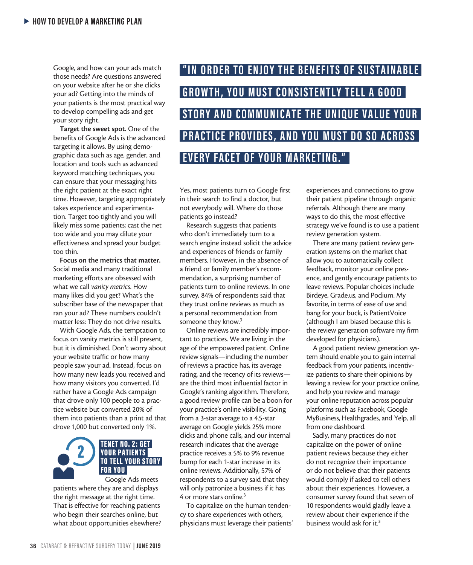Google, and how can your ads match those needs? Are questions answered on your website after he or she clicks your ad? Getting into the minds of your patients is the most practical way to develop compelling ads and get your story right.

Target the sweet spot. One of the benefits of Google Ads is the advanced targeting it allows. By using demographic data such as age, gender, and location and tools such as advanced keyword matching techniques, you can ensure that your messaging hits the right patient at the exact right time. However, targeting appropriately takes experience and experimentation. Target too tightly and you will likely miss some patients; cast the net too wide and you may dilute your effectiveness and spread your budget too thin.

Focus on the metrics that matter. Social media and many traditional marketing efforts are obsessed with what we call *vanity metrics*. How many likes did you get? What's the subscriber base of the newspaper that ran your ad? These numbers couldn't matter less: They do not drive results.

With Google Ads, the temptation to focus on vanity metrics is still present, but it is diminished. Don't worry about your website traffic or how many people saw your ad. Instead, focus on how many new leads you received and how many visitors you converted. I'd rather have a Google Ads campaign that drove only 100 people to a practice website but converted 20% of them into patients than a print ad that drove 1,000 but converted only 1%.

# **2** TENET NO. 2: GET<br>
YOUR PATIENTS TO TELL YOUR STORY FOR YOU Google Ads meets

patients where they are and displays the right message at the right time. That is effective for reaching patients who begin their searches online, but what about opportunities elsewhere?

**"IN ORDER TO ENJOY THE BENEFITS OF SUSTAINABLE GROWTH, YOU MUST CONSISTENTLY TELL A GOOD** *STORY AND COMMUNICATE THE UNIOUE VALUE YOUR* **PRACTICE PROVIDES, AND YOU MUST DO SO ACROSS EVERY FACET OF YOUR MARKETING."** 

Yes, most patients turn to Google first in their search to find a doctor, but not everybody will. Where do those patients go instead?

Research suggests that patients who don't immediately turn to a search engine instead solicit the advice and experiences of friends or family members. However, in the absence of a friend or family member's recommendation, a surprising number of patients turn to online reviews. In one survey, 84% of respondents said that they trust online reviews as much as a personal recommendation from someone they know.<sup>3</sup>

Online reviews are incredibly important to practices. We are living in the age of the empowered patient. Online review signals—including the number of reviews a practice has, its average rating, and the recency of its reviews are the third most influential factor in Google's ranking algorithm. Therefore, a good review profile can be a boon for your practice's online visibility. Going from a 3-star average to a 4.5-star average on Google yields 25% more clicks and phone calls, and our internal research indicates that the average practice receives a 5% to 9% revenue bump for each 1-star increase in its online reviews. Additionally, 57% of respondents to a survey said that they will only patronize a business if it has 4 or more stars online.3

To capitalize on the human tendency to share experiences with others, physicians must leverage their patients' experiences and connections to grow their patient pipeline through organic referrals. Although there are many ways to do this, the most effective strategy we've found is to use a patient review generation system.

There are many patient review generation systems on the market that allow you to automatically collect feedback, monitor your online presence, and gently encourage patients to leave reviews. Popular choices include Birdeye, Grade.us, and Podium. My favorite, in terms of ease of use and bang for your buck, is PatientVoice (although I am biased because this is the review generation software my firm developed for physicians).

A good patient review generation system should enable you to gain internal feedback from your patients, incentivize patients to share their opinions by leaving a review for your practice online, and help you review and manage your online reputation across popular platforms such as Facebook, Google MyBusiness, Healthgrades, and Yelp, all from one dashboard.

Sadly, many practices do not capitalize on the power of online patient reviews because they either do not recognize their importance or do not believe that their patients would comply if asked to tell others about their experiences. However, a consumer survey found that seven of 10 respondents would gladly leave a review about their experience if the business would ask for it.3